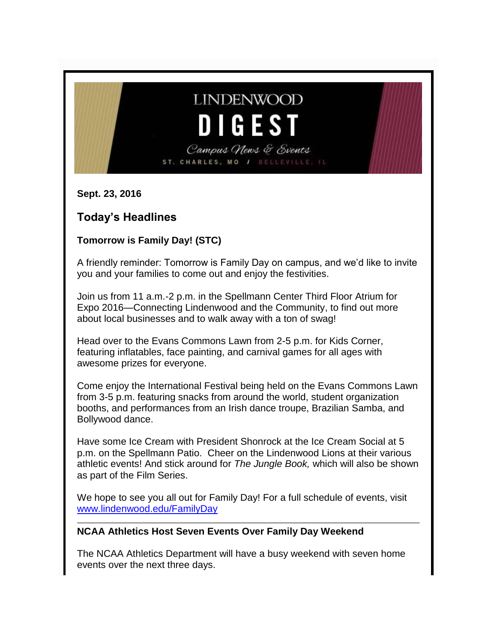# **LINDENWOOD** DIGEST

Campus News & Events ST. CHARLES, MO / BELLEVILLE,

**Sept. 23, 2016**

# **Today's Headlines**

# **Tomorrow is Family Day! (STC)**

A friendly reminder: Tomorrow is Family Day on campus, and we'd like to invite you and your families to come out and enjoy the festivities.

Join us from 11 a.m.-2 p.m. in the Spellmann Center Third Floor Atrium for Expo 2016—Connecting Lindenwood and the Community, to find out more about local businesses and to walk away with a ton of swag!

Head over to the Evans Commons Lawn from 2-5 p.m. for Kids Corner, featuring inflatables, face painting, and carnival games for all ages with awesome prizes for everyone.

Come enjoy the International Festival being held on the Evans Commons Lawn from 3-5 p.m. featuring snacks from around the world, student organization booths, and performances from an Irish dance troupe, Brazilian Samba, and Bollywood dance.

Have some Ice Cream with President Shonrock at the Ice Cream Social at 5 p.m. on the Spellmann Patio. Cheer on the Lindenwood Lions at their various athletic events! And stick around for *The Jungle Book,* which will also be shown as part of the Film Series.

We hope to see you all out for Family Day! For a full schedule of events, visit [www.lindenwood.edu/FamilyDay](http://www.lindenwood.edu/FamilyDay)

# **NCAA Athletics Host Seven Events Over Family Day Weekend**

The NCAA Athletics Department will have a busy weekend with seven home events over the next three days.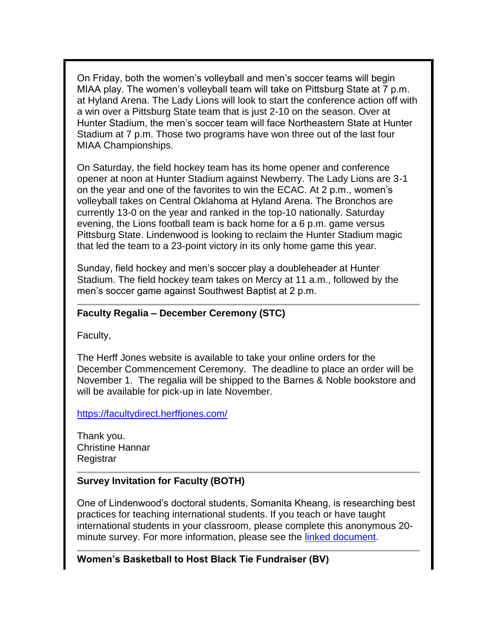On Friday, both the women's volleyball and men's soccer teams will begin MIAA play. The women's volleyball team will take on Pittsburg State at 7 p.m. at Hyland Arena. The Lady Lions will look to start the conference action off with a win over a Pittsburg State team that is just 2-10 on the season. Over at Hunter Stadium, the men's soccer team will face Northeastern State at Hunter Stadium at 7 p.m. Those two programs have won three out of the last four MIAA Championships.

On Saturday, the field hockey team has its home opener and conference opener at noon at Hunter Stadium against Newberry. The Lady Lions are 3-1 on the year and one of the favorites to win the ECAC. At 2 p.m., women's volleyball takes on Central Oklahoma at Hyland Arena. The Bronchos are currently 13-0 on the year and ranked in the top-10 nationally. Saturday evening, the Lions football team is back home for a 6 p.m. game versus Pittsburg State. Lindenwood is looking to reclaim the Hunter Stadium magic that led the team to a 23-point victory in its only home game this year.

Sunday, field hockey and men's soccer play a doubleheader at Hunter Stadium. The field hockey team takes on Mercy at 11 a.m., followed by the men's soccer game against Southwest Baptist at 2 p.m.

#### **Faculty Regalia – December Ceremony (STC)**

Faculty,

The Herff Jones website is available to take your online orders for the December Commencement Ceremony. The deadline to place an order will be November 1. The regalia will be shipped to the Barnes & Noble bookstore and will be available for pick-up in late November.

<https://facultydirect.herffjones.com/>

Thank you. Christine Hannar Registrar

#### **Survey Invitation for Faculty (BOTH)**

One of Lindenwood's doctoral students, Somanita Kheang, is researching best practices for teaching international students. If you teach or have taught international students in your classroom, please complete this anonymous 20 minute survey. For more information, please see the [linked document.](http://felix.lindenwood.edu/newsletter/2016_09/google_forms_survey.pdf)

**Women's Basketball to Host Black Tie Fundraiser (BV)**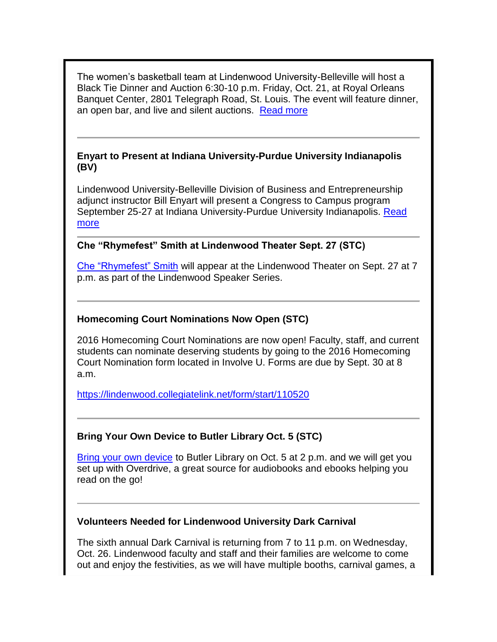The women's basketball team at Lindenwood University-Belleville will host a Black Tie Dinner and Auction 6:30-10 p.m. Friday, Oct. 21, at Royal Orleans Banquet Center, 2801 Telegraph Road, St. Louis. The event will feature dinner, an open bar, and live and silent auctions. [Read more](http://www.lindenwood.edu/belleville/about/news/details/womens-basketball-to-host-black-tie-fundraiser/)

#### **Enyart to Present at Indiana University-Purdue University Indianapolis (BV)**

Lindenwood University-Belleville Division of Business and Entrepreneurship adjunct instructor Bill Enyart will present a Congress to Campus program September 25-27 at Indiana University-Purdue University Indianapolis. [Read](http://www.lindenwood.edu/belleville/about/news/details/enyart-to-present-at-indiana-university-purdue-university-indianapolis/)  [more](http://www.lindenwood.edu/belleville/about/news/details/enyart-to-present-at-indiana-university-purdue-university-indianapolis/)

#### **Che "Rhymefest" Smith at Lindenwood Theater Sept. 27 (STC)**

[Che "Rhymefest" Smith](http://www.lindenwood.edu/about/events/details/che-rhymefest-smith/2016-09-27/) will appear at the Lindenwood Theater on Sept. 27 at 7 p.m. as part of the Lindenwood Speaker Series.

#### **Homecoming Court Nominations Now Open (STC)**

2016 Homecoming Court Nominations are now open! Faculty, staff, and current students can nominate deserving students by going to the 2016 Homecoming Court Nomination form located in Involve U. Forms are due by Sept. 30 at 8 a.m.

<https://lindenwood.collegiatelink.net/form/start/110520>

# **Bring Your Own Device to Butler Library Oct. 5 (STC)**

[Bring your own device](http://felix.lindenwood.edu/newsletter/2016_09/byod.pdf) to Butler Library on Oct. 5 at 2 p.m. and we will get you set up with Overdrive, a great source for audiobooks and ebooks helping you read on the go!

#### **Volunteers Needed for Lindenwood University Dark Carnival**

The sixth annual Dark Carnival is returning from 7 to 11 p.m. on Wednesday, Oct. 26. Lindenwood faculty and staff and their families are welcome to come out and enjoy the festivities, as we will have multiple booths, carnival games, a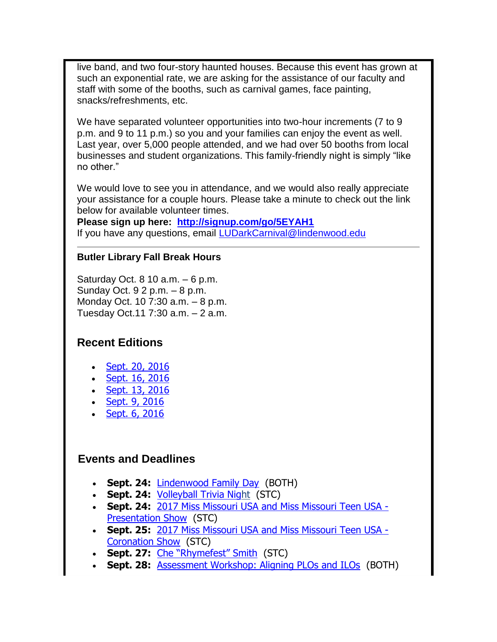live band, and two four-story haunted houses. Because this event has grown at such an exponential rate, we are asking for the assistance of our faculty and staff with some of the booths, such as carnival games, face painting, snacks/refreshments, etc.

We have separated volunteer opportunities into two-hour increments (7 to 9 p.m. and 9 to 11 p.m.) so you and your families can enjoy the event as well. Last year, over 5,000 people attended, and we had over 50 booths from local businesses and student organizations. This family-friendly night is simply "like no other."

We would love to see you in attendance, and we would also really appreciate your assistance for a couple hours. Please take a minute to check out the link below for available volunteer times.

**Please sign up here: <http://signup.com/go/5EYAH1>** If you have any questions, email [LUDarkCarnival@lindenwood.edu](mailto:LUDarkCarnival@lindenwood.edu)

#### **Butler Library Fall Break Hours**

Saturday Oct. 8 10 a.m. – 6 p.m. Sunday Oct. 9 2 p.m. – 8 p.m. Monday Oct. 10 7:30 a.m. – 8 p.m. Tuesday Oct.11 7:30 a.m. – 2 a.m.

# **Recent Editions**

- [Sept. 20, 2016](http://felix.lindenwood.edu/newsletter/digest/digest2016_09_20.pdf)
- [Sept. 16, 2016](http://felix.lindenwood.edu/newsletter/digest/digest2016_09_16.pdf)
- [Sept. 13, 2016](http://felix.lindenwood.edu/newsletter/digest/digest2016_09_13.pdf)
- [Sept. 9, 2016](http://felix.lindenwood.edu/newsletter/digest/digest2016_09_09.pdf)
- [Sept. 6, 2016](http://www.lindenwood.edu/newsletter/digest/Digest2016_09_06.pdf)

# **Events and Deadlines**

- **Sept. 24:** [Lindenwood Family Day](http://www.lindenwood.edu/familyday/) (BOTH)
- **Sept. 24:** [Volleyball Trivia Night](http://www.lindenwoodlions.com/vbtrivianight) (STC)
- **Sept. 24:** 2017 Miss [Missouri USA and Miss Missouri Teen USA -](http://www.lindenwood.edu/j-scheidegger-center-for-the-arts/upcoming-events/community/2017-miss-missouri-usa-presentation-show/) [Presentation Show](http://www.lindenwood.edu/j-scheidegger-center-for-the-arts/upcoming-events/community/2017-miss-missouri-usa-presentation-show/) (STC)
- **Sept. 25:** [2017 Miss Missouri USA and Miss Missouri Teen USA -](http://www.lindenwood.edu/j-scheidegger-center-for-the-arts/upcoming-events/community/2017-miss-missouri-usa-coronation-show/) [Coronation Show](http://www.lindenwood.edu/j-scheidegger-center-for-the-arts/upcoming-events/community/2017-miss-missouri-usa-coronation-show/) (STC)
- **Sept. 27:** [Che "Rhymefest" Smith](http://www.lindenwood.edu/about/events/details/che-rhymefest-smith/2016-09-27/) (STC)
- **Sept. 28:** [Assessment Workshop: Aligning PLOs and ILOs](http://felix.lindenwood.edu/newsletter/2016_09/assessment_09_20.pdf) (BOTH)